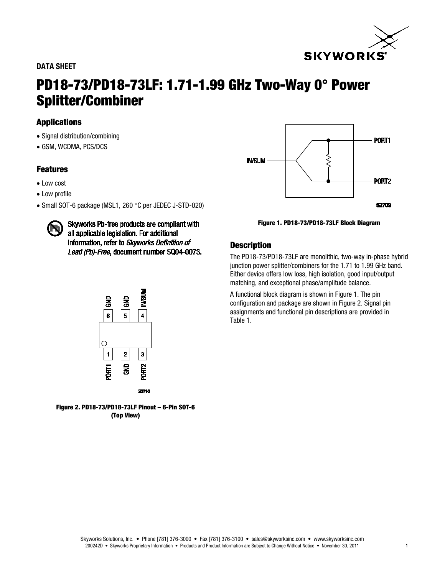## DATA SHEET



# PD18-73/PD18-73LF: 1.71-1.99 GHz Two-Way 0° Power Splitter/Combiner

# Applications

- Signal distribution/combining
- GSM, WCDMA, PCS/DCS

# Features

- Low cost
- Low profile
- Small SOT-6 package (MSL1, 260 °C per JEDEC J-STD-020)



Skyworks Pb-free products are compliant with all applicable legislation. For additional information, refer to Skyworks Definition of Lead (Pb)-Free, document number SQ04-0073.



Figure 2. PD18-73/PD18-73LF Pinout – 6-Pin SOT-6 (Top View)



Figure 1. PD18-73/PD18-73LF Block Diagram

# **Description**

The PD18-73/PD18-73LF are monolithic, two-way in-phase hybrid junction power splitter/combiners for the 1.71 to 1.99 GHz band. Either device offers low loss, high isolation, good input/output matching, and exceptional phase/amplitude balance.

A functional block diagram is shown in Figure 1. The pin configuration and package are shown in Figure 2. Signal pin assignments and functional pin descriptions are provided in Table 1.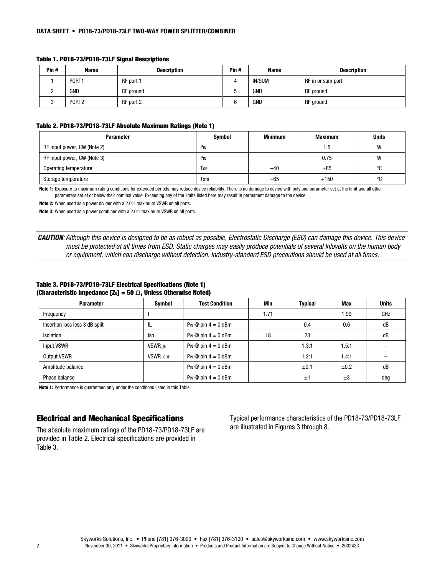| Pin# | <b>Name</b>       | <b>Description</b> | Pin# | <b>Name</b>   | <b>Description</b> |
|------|-------------------|--------------------|------|---------------|--------------------|
|      | PORT1             | RF port 1          |      | <b>IN/SUM</b> | RF in or sum port  |
|      | GND               | RF ground          |      | <b>GND</b>    | RF ground          |
|      | PORT <sub>2</sub> | RF port 2          |      | <b>GND</b>    | RF ground          |

#### Table 1. PD18-73/PD18-73LF Signal Descriptions

#### Table 2. PD18-73/PD18-73LF Absolute Maximum Ratings (Note 1)

| <b>Parameter</b>            | Symbol                  | Minimum | <b>Maximum</b> | <b>Units</b> |
|-----------------------------|-------------------------|---------|----------------|--------------|
| RF input power, CW (Note 2) | PIN                     |         | 1.5            | W            |
| RF input power, CW (Note 3) | PIN                     |         | 0.75           | W            |
| Operating temperature       | <b>T</b> <sub>OP</sub>  | $-40$   | $+85$          | ∘c           |
| Storage temperature         | <b>T</b> <sub>STG</sub> | $-65$   | $+150$         | ∘c           |

Note 1: Exposure to maximum rating conditions for extended periods may reduce device reliability. There is no damage to device with only one parameter set at the limit and all other parameters set at or below their nominal value. Exceeding any of the limits listed here may result in permanent damage to the device.

Note 2: When used as a power divider with a 2.0:1 maximum VSWR on all ports.

Note 3: When used as a power combiner with a 2.0:1 maximum VSWR on all ports.

*CAUTION: Although this device is designed to be as robust as possible, Electrostatic Discharge (ESD) can damage this device. This device must be protected at all times from ESD. Static charges may easily produce potentials of several kilovolts on the human body or equipment, which can discharge without detection. Industry-standard ESD precautions should be used at all times.*

#### Table 3. PD18-73/PD18-73LF Electrical Specifications (Note 1) (Characteristic Impedance [Z<sub>0</sub>] = 50  $\Omega$ , Unless Otherwise Noted)

| <b>Parameter</b>               | Symbol   | <b>Test Condition</b>       | Min  | <b>Typical</b> | Max     | <b>Units</b> |
|--------------------------------|----------|-----------------------------|------|----------------|---------|--------------|
| Frequency                      |          |                             | 1.71 |                | 1.99    | GHz          |
| Insertion loss less 3 dB split | IL       | $Pin \otimes pin 4 = 0$ dBm |      | 0.4            | 0.6     | dB           |
| Isolation                      | lso      | $Pin \otimes pin 4 = 0$ dBm | 18   | 23             |         | dB           |
| Input VSWR                     | VSWR IN  | $Pin \otimes pin 4 = 0$ dBm |      | 1.3:1          | 1.5:1   |              |
| <b>Output VSWR</b>             | VSWR OUT | $Pin \otimes pin 4 = 0$ dBm |      | 1.2:1          | 1.4:1   |              |
| Amplitude balance              |          | $Pin \otimes pin 4 = 0$ dBm |      | ±0.1           | ±0.2    | dB           |
| Phase balance                  |          | $Pin \otimes pin 4 = 0$ dBm |      | $\pm 1$        | $\pm 3$ | deg          |

Note 1: Performance is guaranteed only under the conditions listed in this Table.

## Electrical and Mechanical Specifications

The absolute maximum ratings of the PD18-73/PD18-73LF are provided in Table 2. Electrical specifications are provided in Table 3.

Typical performance characteristics of the PD18-73/PD18-73LF are illustrated in Figures 3 through 8.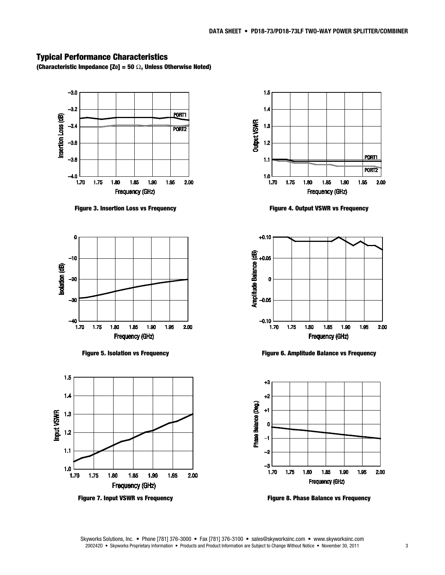# Typical Performance Characteristics

(Characteristic Impedance [Zo] = 50  $\Omega$ , Unless Otherwise Noted)



Figure 3. Insertion Loss vs Frequency



Figure 5. Isolation vs Frequency



Figure 7. Input VSWR vs Frequency



Figure 4. Output VSWR vs Frequency



Figure 6. Amplitude Balance vs Frequency



Figure 8. Phase Balance vs Frequency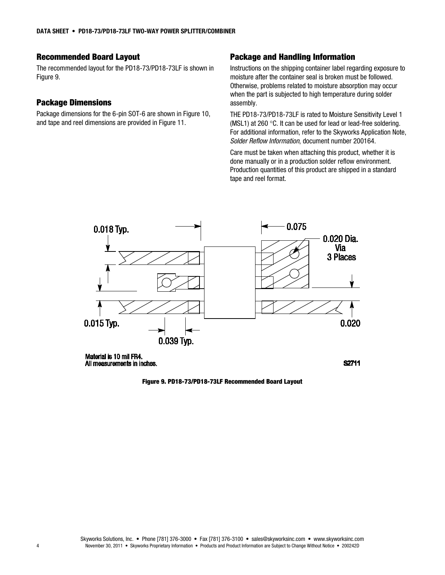# Recommended Board Layout

The recommended layout for the PD18-73/PD18-73LF is shown in Figure 9.

## Package Dimensions

Package dimensions for the 6-pin SOT-6 are shown in Figure 10, and tape and reel dimensions are provided in Figure 11.

## Package and Handling Information

Instructions on the shipping container label regarding exposure to moisture after the container seal is broken must be followed. Otherwise, problems related to moisture absorption may occur when the part is subjected to high temperature during solder assembly.

THE PD18-73/PD18-73LF is rated to Moisture Sensitivity Level 1 (MSL1) at 260 °C. It can be used for lead or lead-free soldering. For additional information, refer to the Skyworks Application Note, *Solder Reflow Information*, document number 200164.

Care must be taken when attaching this product, whether it is done manually or in a production solder reflow environment. Production quantities of this product are shipped in a standard tape and reel format.

S2711



Material is 10 mil FR4. All measurements in inches.

Figure 9. PD18-73/PD18-73LF Recommended Board Layout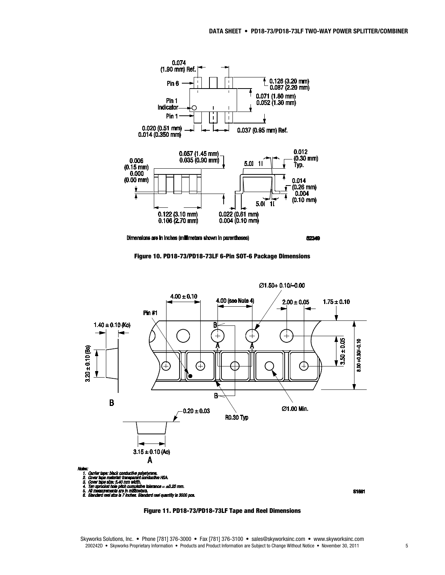



**S2349**